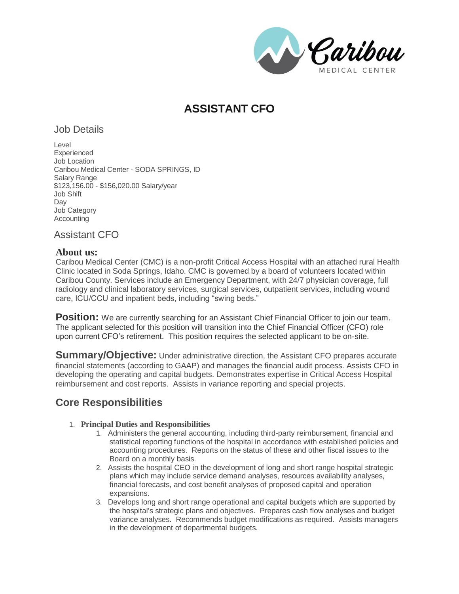Raribou **IEDICAL CENTER** 

# **ASSISTANT CFO**

## Job Details

Level Experienced Job Location Caribou Medical Center - SODA SPRINGS, ID Salary Range \$123,156.00 - \$156,020.00 Salary/year Job Shift Day Job Category Accounting

Assistant CFO

### **About us:**

Caribou Medical Center (CMC) is a non-profit Critical Access Hospital with an attached rural Health Clinic located in Soda Springs, Idaho. CMC is governed by a board of volunteers located within Caribou County. Services include an Emergency Department, with 24/7 physician coverage, full radiology and clinical laboratory services, surgical services, outpatient services, including wound care, ICU/CCU and inpatient beds, including "swing beds."

**Position:** We are currently searching for an Assistant Chief Financial Officer to join our team. The applicant selected for this position will transition into the Chief Financial Officer (CFO) role upon current CFO's retirement. This position requires the selected applicant to be on-site.

**Summary/Objective:** Under administrative direction, the Assistant CFO prepares accurate financial statements (according to GAAP) and manages the financial audit process. Assists CFO in developing the operating and capital budgets. Demonstrates expertise in Critical Access Hospital reimbursement and cost reports. Assists in variance reporting and special projects.

## **Core Responsibilities**

### 1. **Principal Duties and Responsibilities**

- 1. Administers the general accounting, including third-party reimbursement, financial and statistical reporting functions of the hospital in accordance with established policies and accounting procedures. Reports on the status of these and other fiscal issues to the Board on a monthly basis.
- 2. Assists the hospital CEO in the development of long and short range hospital strategic plans which may include service demand analyses, resources availability analyses, financial forecasts, and cost benefit analyses of proposed capital and operation expansions.
- 3. Develops long and short range operational and capital budgets which are supported by the hospital's strategic plans and objectives. Prepares cash flow analyses and budget variance analyses. Recommends budget modifications as required. Assists managers in the development of departmental budgets.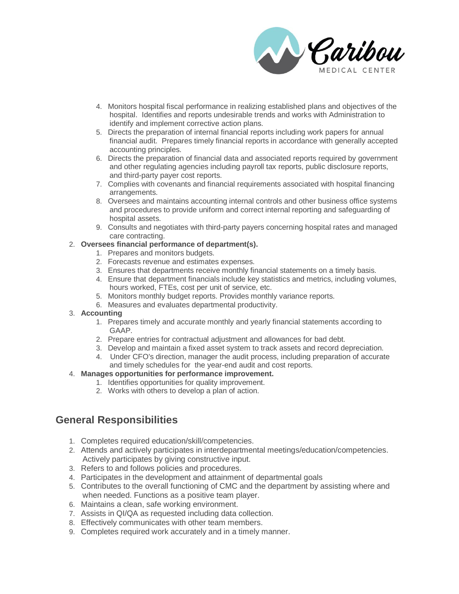

- 4. Monitors hospital fiscal performance in realizing established plans and objectives of the hospital. Identifies and reports undesirable trends and works with Administration to identify and implement corrective action plans.
- 5. Directs the preparation of internal financial reports including work papers for annual financial audit. Prepares timely financial reports in accordance with generally accepted accounting principles.
- 6. Directs the preparation of financial data and associated reports required by government and other regulating agencies including payroll tax reports, public disclosure reports, and third-party payer cost reports.
- 7. Complies with covenants and financial requirements associated with hospital financing arrangements.
- 8. Oversees and maintains accounting internal controls and other business office systems and procedures to provide uniform and correct internal reporting and safeguarding of hospital assets.
- 9. Consults and negotiates with third-party payers concerning hospital rates and managed care contracting.

#### 2. **Oversees financial performance of department(s).**

- 1. Prepares and monitors budgets.
- 2. Forecasts revenue and estimates expenses.
- 3. Ensures that departments receive monthly financial statements on a timely basis.
- 4. Ensure that department financials include key statistics and metrics, including volumes, hours worked, FTEs, cost per unit of service, etc.
- 5. Monitors monthly budget reports. Provides monthly variance reports.
- 6. Measures and evaluates departmental productivity.

#### 3. **Accounting**

- 1. Prepares timely and accurate monthly and yearly financial statements according to GAAP.
- 2. Prepare entries for contractual adjustment and allowances for bad debt.
- 3. Develop and maintain a fixed asset system to track assets and record depreciation.
- 4. Under CFO's direction, manager the audit process, including preparation of accurate and timely schedules for the year-end audit and cost reports.

#### 4. **Manages opportunities for performance improvement.**

- 1. Identifies opportunities for quality improvement.
- 2. Works with others to develop a plan of action.

## **General Responsibilities**

- 1. Completes required education/skill/competencies.
- 2. Attends and actively participates in interdepartmental meetings/education/competencies. Actively participates by giving constructive input.
- 3. Refers to and follows policies and procedures.
- 4. Participates in the development and attainment of departmental goals
- 5. Contributes to the overall functioning of CMC and the department by assisting where and when needed. Functions as a positive team player.
- 6. Maintains a clean, safe working environment.
- 7. Assists in QI/QA as requested including data collection.
- 8. Effectively communicates with other team members.
- 9. Completes required work accurately and in a timely manner.